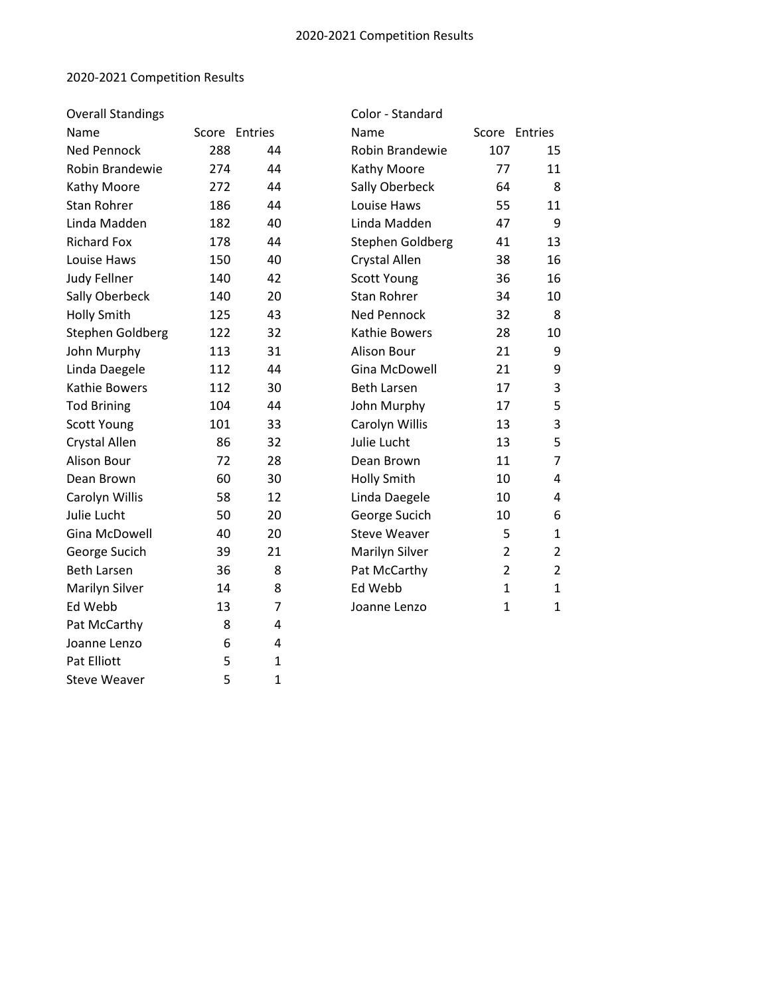## 2020-2021 Competition Results

Pat Elliott 5 1<br>Steve Weaver 5 1 Steve Weaver 5 1

| <b>Overall Standings</b> |               |    | Color - Standard       |                |                |
|--------------------------|---------------|----|------------------------|----------------|----------------|
| Name                     | Score Entries |    | Name                   |                | Score Entries  |
| <b>Ned Pennock</b>       | 288           | 44 | <b>Robin Brandewie</b> | 107            | 15             |
| Robin Brandewie          | 274           | 44 | Kathy Moore            | 77             | 11             |
| Kathy Moore              | 272           | 44 | Sally Oberbeck         | 64             | 8              |
| <b>Stan Rohrer</b>       | 186           | 44 | Louise Haws            | 55             | 11             |
| Linda Madden             | 182           | 40 | Linda Madden           | 47             | 9              |
| <b>Richard Fox</b>       | 178           | 44 | Stephen Goldberg       | 41             | 13             |
| Louise Haws              | 150           | 40 | <b>Crystal Allen</b>   | 38             | 16             |
| <b>Judy Fellner</b>      | 140           | 42 | <b>Scott Young</b>     | 36             | 16             |
| Sally Oberbeck           | 140           | 20 | <b>Stan Rohrer</b>     | 34             | 10             |
| <b>Holly Smith</b>       | 125           | 43 | <b>Ned Pennock</b>     | 32             | 8              |
| Stephen Goldberg         | 122           | 32 | Kathie Bowers          | 28             | 10             |
| John Murphy              | 113           | 31 | Alison Bour            | 21             | 9              |
| Linda Daegele            | 112           | 44 | <b>Gina McDowell</b>   | 21             | 9              |
| Kathie Bowers            | 112           | 30 | <b>Beth Larsen</b>     | 17             | 3              |
| <b>Tod Brining</b>       | 104           | 44 | John Murphy            | 17             | 5              |
| Scott Young              | 101           | 33 | Carolyn Willis         | 13             | 3              |
| <b>Crystal Allen</b>     | 86            | 32 | Julie Lucht            | 13             | 5              |
| Alison Bour              | 72            | 28 | Dean Brown             | 11             | $\overline{7}$ |
| Dean Brown               | 60            | 30 | <b>Holly Smith</b>     | 10             | 4              |
| Carolyn Willis           | 58            | 12 | Linda Daegele          | 10             | 4              |
| Julie Lucht              | 50            | 20 | George Sucich          | 10             | 6              |
| Gina McDowell            | 40            | 20 | <b>Steve Weaver</b>    | 5              | $\mathbf{1}$   |
| George Sucich            | 39            | 21 | Marilyn Silver         | $\overline{2}$ | $\overline{2}$ |
| <b>Beth Larsen</b>       | 36            | 8  | Pat McCarthy           | $\overline{2}$ | $\overline{2}$ |
| Marilyn Silver           | 14            | 8  | Ed Webb                | $\mathbf{1}$   | $\mathbf{1}$   |
| Ed Webb                  | 13            | 7  | Joanne Lenzo           | $\mathbf{1}$   | $\mathbf{1}$   |
| Pat McCarthy             | 8             | 4  |                        |                |                |
| Joanne Lenzo             | 6             | 4  |                        |                |                |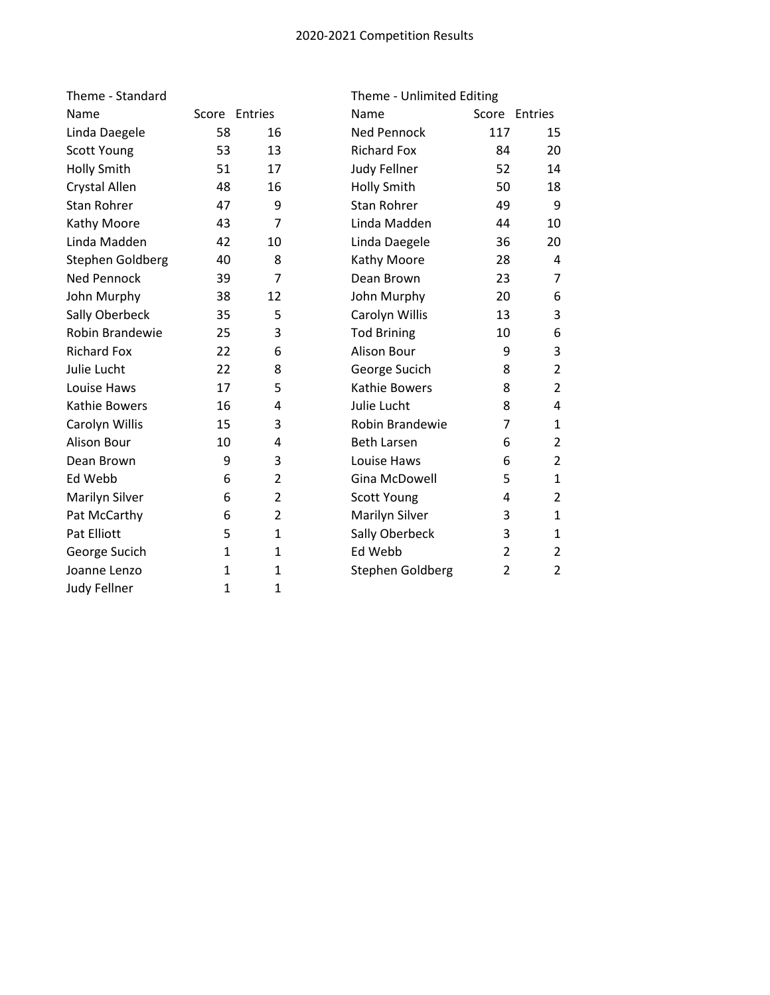## 2020-2021 Competition Results

| Theme - Standard     |              |                |                     | Theme - Unlimited Editing |                |  |  |
|----------------------|--------------|----------------|---------------------|---------------------------|----------------|--|--|
| Name                 |              | Score Entries  | Name                |                           | Score Entries  |  |  |
| Linda Daegele        | 58           | 16             | <b>Ned Pennock</b>  | 117                       | 15             |  |  |
| Scott Young          | 53           | 13             | <b>Richard Fox</b>  | 84                        | 20             |  |  |
| <b>Holly Smith</b>   | 51           | 17             | <b>Judy Fellner</b> | 52                        | 14             |  |  |
| <b>Crystal Allen</b> | 48           | 16             | <b>Holly Smith</b>  | 50                        | 18             |  |  |
| <b>Stan Rohrer</b>   | 47           | 9              | <b>Stan Rohrer</b>  | 49                        | 9              |  |  |
| Kathy Moore          | 43           | $\overline{7}$ | Linda Madden        | 44                        | 10             |  |  |
| Linda Madden         | 42           | 10             | Linda Daegele       | 36                        | 20             |  |  |
| Stephen Goldberg     | 40           | 8              | Kathy Moore         | 28                        | 4              |  |  |
| <b>Ned Pennock</b>   | 39           | $\overline{7}$ | Dean Brown          | 23                        | $\overline{7}$ |  |  |
| John Murphy          | 38           | 12             | John Murphy         | 20                        | 6              |  |  |
| Sally Oberbeck       | 35           | 5              | Carolyn Willis      | 13                        | 3              |  |  |
| Robin Brandewie      | 25           | 3              | <b>Tod Brining</b>  | 10                        | 6              |  |  |
| <b>Richard Fox</b>   | 22           | 6              | Alison Bour         | 9                         | 3              |  |  |
| Julie Lucht          | 22           | 8              | George Sucich       | 8                         | $\overline{2}$ |  |  |
| Louise Haws          | 17           | 5              | Kathie Bowers       | 8                         | 2              |  |  |
| Kathie Bowers        | 16           | 4              | Julie Lucht         | 8                         | 4              |  |  |
| Carolyn Willis       | 15           | 3              | Robin Brandewie     | 7                         | $\mathbf{1}$   |  |  |
| Alison Bour          | 10           | 4              | <b>Beth Larsen</b>  | 6                         | $\overline{2}$ |  |  |
| Dean Brown           | 9            | 3              | Louise Haws         | 6                         | $\overline{2}$ |  |  |
| Ed Webb              | 6            | $\overline{2}$ | Gina McDowell       | 5                         | $\mathbf{1}$   |  |  |
| Marilyn Silver       | 6            | $\overline{2}$ | <b>Scott Young</b>  | 4                         | $\overline{2}$ |  |  |
| Pat McCarthy         | 6            | $\overline{2}$ | Marilyn Silver      | 3                         | 1              |  |  |
| Pat Elliott          | 5            | $\mathbf{1}$   | Sally Oberbeck      | 3                         | $\mathbf{1}$   |  |  |
| George Sucich        | $\mathbf{1}$ | $\mathbf{1}$   | Ed Webb             | $\overline{2}$            | $\overline{2}$ |  |  |
| Joanne Lenzo         | 1            | $\mathbf{1}$   | Stephen Goldberg    | $\overline{2}$            | $\overline{2}$ |  |  |
| <b>Judy Fellner</b>  | 1            | 1              |                     |                           |                |  |  |